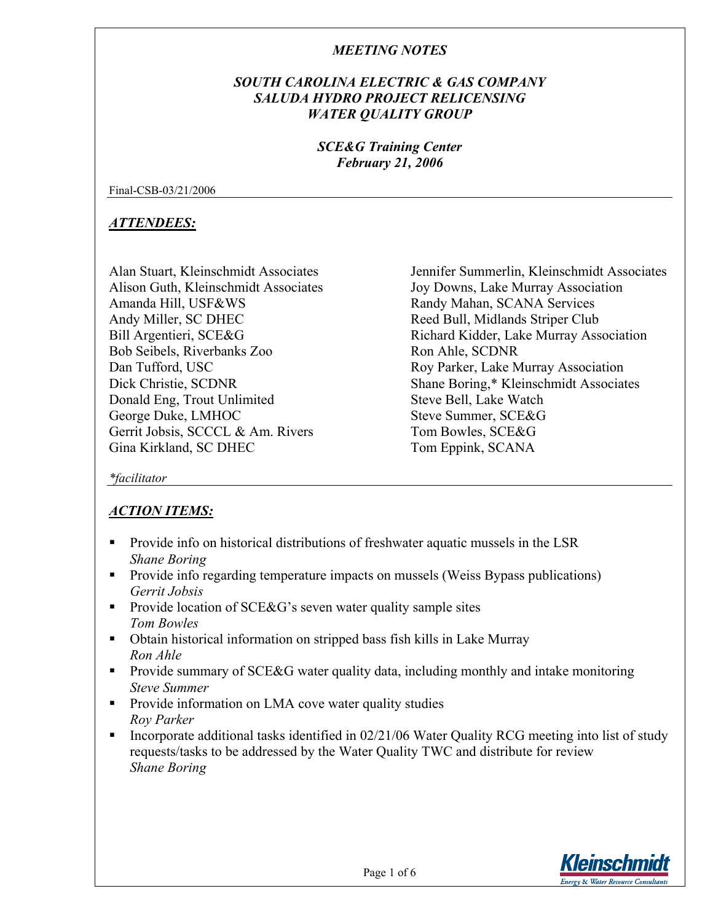## *SOUTH CAROLINA ELECTRIC & GAS COMPANY SALUDA HYDRO PROJECT RELICENSING WATER QUALITY GROUP*

## *SCE&G Training Center February 21, 2006*

Final-CSB-03/21/2006

## *ATTENDEES:*

Alan Stuart, Kleinschmidt Associates Alison Guth, Kleinschmidt Associates Amanda Hill, USF&WS Andy Miller, SC DHEC Bill Argentieri, SCE&G Bob Seibels, Riverbanks Zoo Dan Tufford, USC Dick Christie, SCDNR Donald Eng, Trout Unlimited George Duke, LMHOC Gerrit Jobsis, SCCCL & Am. Rivers Gina Kirkland, SC DHEC

Jennifer Summerlin, Kleinschmidt Associates Joy Downs, Lake Murray Association Randy Mahan, SCANA Services Reed Bull, Midlands Striper Club Richard Kidder, Lake Murray Association Ron Ahle, SCDNR Roy Parker, Lake Murray Association Shane Boring,\* Kleinschmidt Associates Steve Bell, Lake Watch Steve Summer, SCE&G Tom Bowles, SCE&G Tom Eppink, SCANA

*\*facilitator* 

# *ACTION ITEMS:*

- Provide info on historical distributions of freshwater aquatic mussels in the LSR *Shane Boring*
- **Provide info regarding temperature impacts on mussels (Weiss Bypass publications)** *Gerrit Jobsis*
- **Provide location of SCE&G's seven water quality sample sites** *Tom Bowles*
- Obtain historical information on stripped bass fish kills in Lake Murray *Ron Ahle*
- **Provide summary of SCE&G water quality data, including monthly and intake monitoring** *Steve Summer*
- **Provide information on LMA cove water quality studies** *Roy Parker*
- Incorporate additional tasks identified in  $02/21/06$  Water Quality RCG meeting into list of study requests/tasks to be addressed by the Water Quality TWC and distribute for review *Shane Boring*

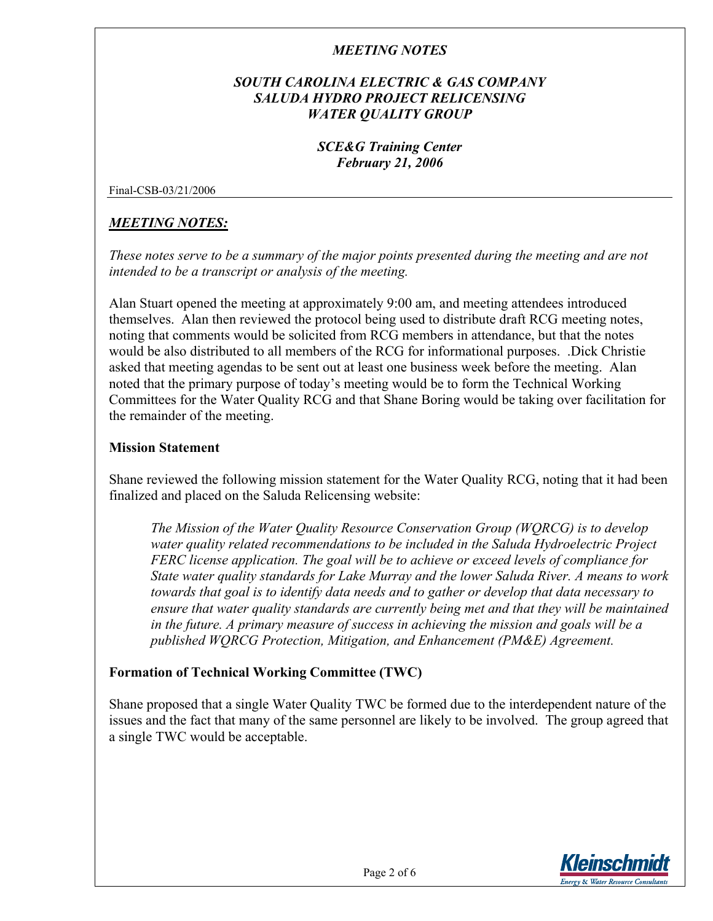## *SOUTH CAROLINA ELECTRIC & GAS COMPANY SALUDA HYDRO PROJECT RELICENSING WATER QUALITY GROUP*

## *SCE&G Training Center February 21, 2006*

Final-CSB-03/21/2006

## *MEETING NOTES:*

*These notes serve to be a summary of the major points presented during the meeting and are not intended to be a transcript or analysis of the meeting.* 

Alan Stuart opened the meeting at approximately 9:00 am, and meeting attendees introduced themselves. Alan then reviewed the protocol being used to distribute draft RCG meeting notes, noting that comments would be solicited from RCG members in attendance, but that the notes would be also distributed to all members of the RCG for informational purposes. .Dick Christie asked that meeting agendas to be sent out at least one business week before the meeting. Alan noted that the primary purpose of today's meeting would be to form the Technical Working Committees for the Water Quality RCG and that Shane Boring would be taking over facilitation for the remainder of the meeting.

#### **Mission Statement**

Shane reviewed the following mission statement for the Water Quality RCG, noting that it had been finalized and placed on the Saluda Relicensing website:

*The Mission of the Water Quality Resource Conservation Group (WQRCG) is to develop water quality related recommendations to be included in the Saluda Hydroelectric Project FERC license application. The goal will be to achieve or exceed levels of compliance for State water quality standards for Lake Murray and the lower Saluda River. A means to work towards that goal is to identify data needs and to gather or develop that data necessary to ensure that water quality standards are currently being met and that they will be maintained in the future. A primary measure of success in achieving the mission and goals will be a published WQRCG Protection, Mitigation, and Enhancement (PM&E) Agreement.* 

## **Formation of Technical Working Committee (TWC)**

Shane proposed that a single Water Quality TWC be formed due to the interdependent nature of the issues and the fact that many of the same personnel are likely to be involved. The group agreed that a single TWC would be acceptable.

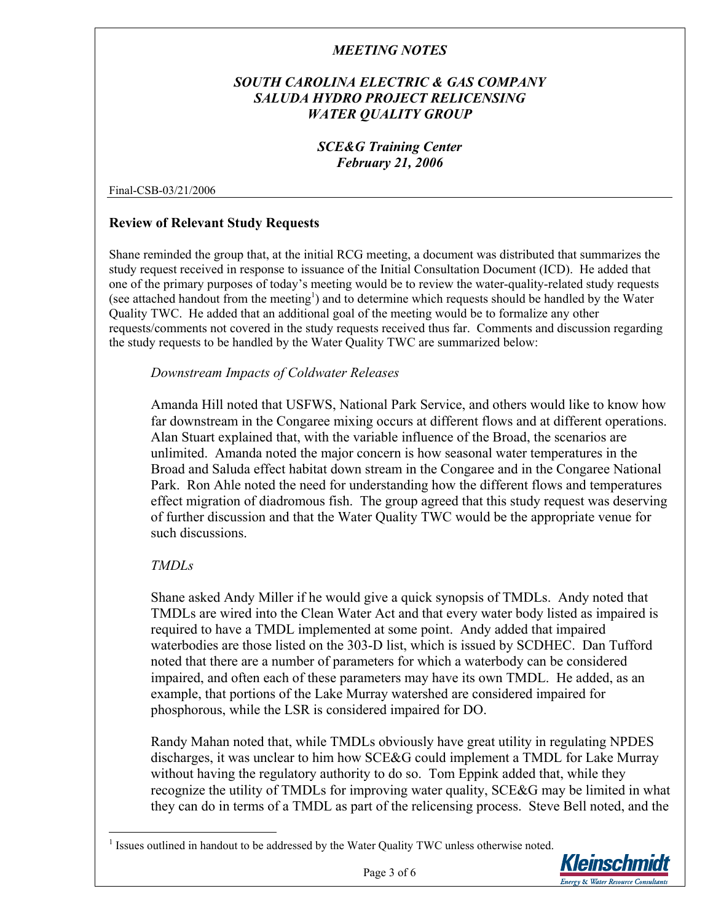## *SOUTH CAROLINA ELECTRIC & GAS COMPANY SALUDA HYDRO PROJECT RELICENSING WATER QUALITY GROUP*

## *SCE&G Training Center February 21, 2006*

#### Final-CSB-03/21/2006

## **Review of Relevant Study Requests**

Shane reminded the group that, at the initial RCG meeting, a document was distributed that summarizes the study request received in response to issuance of the Initial Consultation Document (ICD). He added that one of the primary purposes of today's meeting would be to review the water-quality-related study requests (see attached handout from the meeting<sup>1</sup>[\)](#page-2-0) and to determine which requests should be handled by the Water Quality TWC. He added that an additional goal of the meeting would be to formalize any other requests/comments not covered in the study requests received thus far. Comments and discussion regarding the study requests to be handled by the Water Quality TWC are summarized below:

#### *Downstream Impacts of Coldwater Releases*

Amanda Hill noted that USFWS, National Park Service, and others would like to know how far downstream in the Congaree mixing occurs at different flows and at different operations. Alan Stuart explained that, with the variable influence of the Broad, the scenarios are unlimited. Amanda noted the major concern is how seasonal water temperatures in the Broad and Saluda effect habitat down stream in the Congaree and in the Congaree National Park. Ron Ahle noted the need for understanding how the different flows and temperatures effect migration of diadromous fish. The group agreed that this study request was deserving of further discussion and that the Water Quality TWC would be the appropriate venue for such discussions.

#### *TMDLs*

 $\overline{a}$ 

Shane asked Andy Miller if he would give a quick synopsis of TMDLs. Andy noted that TMDLs are wired into the Clean Water Act and that every water body listed as impaired is required to have a TMDL implemented at some point. Andy added that impaired waterbodies are those listed on the 303-D list, which is issued by SCDHEC. Dan Tufford noted that there are a number of parameters for which a waterbody can be considered impaired, and often each of these parameters may have its own TMDL. He added, as an example, that portions of the Lake Murray watershed are considered impaired for phosphorous, while the LSR is considered impaired for DO.

Randy Mahan noted that, while TMDLs obviously have great utility in regulating NPDES discharges, it was unclear to him how SCE&G could implement a TMDL for Lake Murray without having the regulatory authority to do so. Tom Eppink added that, while they recognize the utility of TMDLs for improving water quality, SCE&G may be limited in what they can do in terms of a TMDL as part of the relicensing process. Steve Bell noted, and the

<span id="page-2-0"></span> $<sup>1</sup>$  Issues outlined in handout to be addressed by the Water Quality TWC unless otherwise noted.</sup>

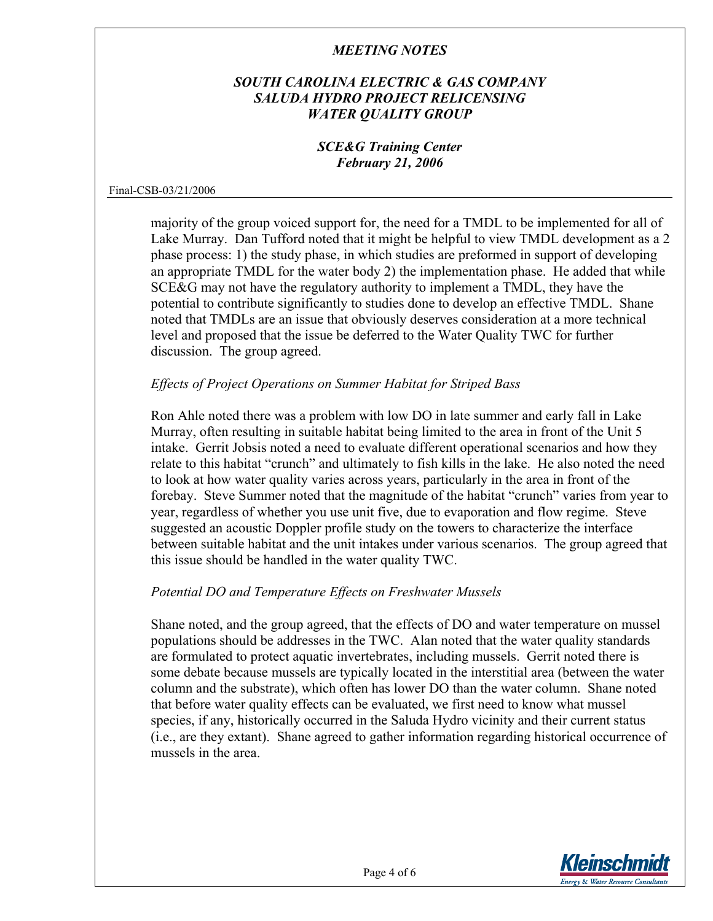## *SOUTH CAROLINA ELECTRIC & GAS COMPANY SALUDA HYDRO PROJECT RELICENSING WATER QUALITY GROUP*

### *SCE&G Training Center February 21, 2006*

#### Final-CSB-03/21/2006

majority of the group voiced support for, the need for a TMDL to be implemented for all of Lake Murray. Dan Tufford noted that it might be helpful to view TMDL development as a 2 phase process: 1) the study phase, in which studies are preformed in support of developing an appropriate TMDL for the water body 2) the implementation phase. He added that while SCE&G may not have the regulatory authority to implement a TMDL, they have the potential to contribute significantly to studies done to develop an effective TMDL. Shane noted that TMDLs are an issue that obviously deserves consideration at a more technical level and proposed that the issue be deferred to the Water Quality TWC for further discussion. The group agreed.

#### *Effects of Project Operations on Summer Habitat for Striped Bass*

Ron Ahle noted there was a problem with low DO in late summer and early fall in Lake Murray, often resulting in suitable habitat being limited to the area in front of the Unit 5 intake. Gerrit Jobsis noted a need to evaluate different operational scenarios and how they relate to this habitat "crunch" and ultimately to fish kills in the lake. He also noted the need to look at how water quality varies across years, particularly in the area in front of the forebay. Steve Summer noted that the magnitude of the habitat "crunch" varies from year to year, regardless of whether you use unit five, due to evaporation and flow regime. Steve suggested an acoustic Doppler profile study on the towers to characterize the interface between suitable habitat and the unit intakes under various scenarios. The group agreed that this issue should be handled in the water quality TWC.

## *Potential DO and Temperature Effects on Freshwater Mussels*

Shane noted, and the group agreed, that the effects of DO and water temperature on mussel populations should be addresses in the TWC. Alan noted that the water quality standards are formulated to protect aquatic invertebrates, including mussels. Gerrit noted there is some debate because mussels are typically located in the interstitial area (between the water column and the substrate), which often has lower DO than the water column. Shane noted that before water quality effects can be evaluated, we first need to know what mussel species, if any, historically occurred in the Saluda Hydro vicinity and their current status (i.e., are they extant). Shane agreed to gather information regarding historical occurrence of mussels in the area.

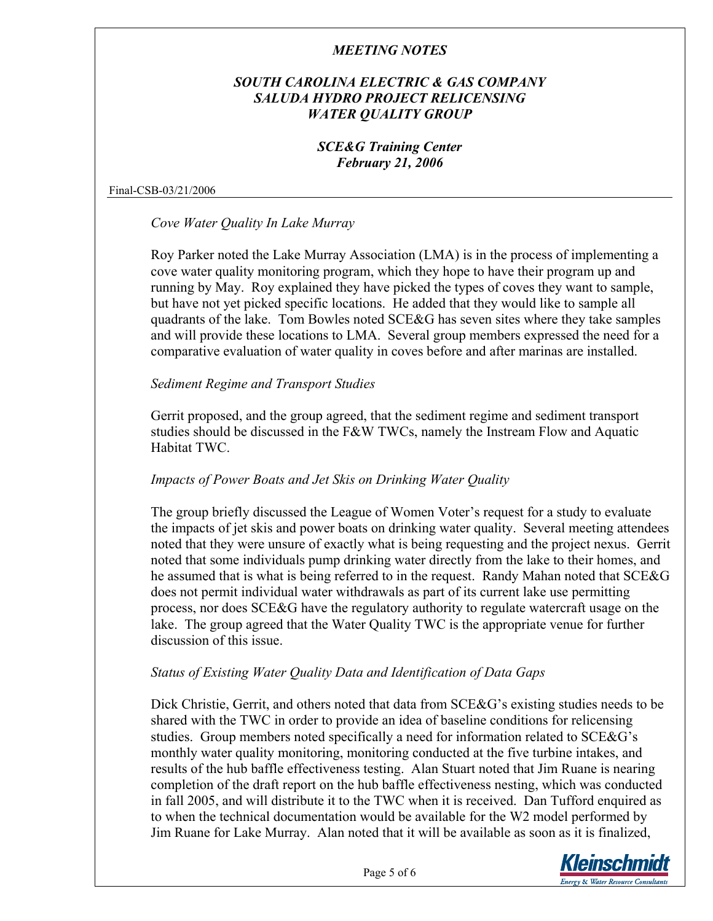## *SOUTH CAROLINA ELECTRIC & GAS COMPANY SALUDA HYDRO PROJECT RELICENSING WATER QUALITY GROUP*

## *SCE&G Training Center February 21, 2006*

Final-CSB-03/21/2006

*Cove Water Quality In Lake Murray*

Roy Parker noted the Lake Murray Association (LMA) is in the process of implementing a cove water quality monitoring program, which they hope to have their program up and running by May. Roy explained they have picked the types of coves they want to sample, but have not yet picked specific locations. He added that they would like to sample all quadrants of the lake. Tom Bowles noted SCE&G has seven sites where they take samples and will provide these locations to LMA. Several group members expressed the need for a comparative evaluation of water quality in coves before and after marinas are installed.

#### *Sediment Regime and Transport Studies*

Gerrit proposed, and the group agreed, that the sediment regime and sediment transport studies should be discussed in the F&W TWCs, namely the Instream Flow and Aquatic Habitat TWC.

#### *Impacts of Power Boats and Jet Skis on Drinking Water Quality*

The group briefly discussed the League of Women Voter's request for a study to evaluate the impacts of jet skis and power boats on drinking water quality. Several meeting attendees noted that they were unsure of exactly what is being requesting and the project nexus. Gerrit noted that some individuals pump drinking water directly from the lake to their homes, and he assumed that is what is being referred to in the request. Randy Mahan noted that SCE&G does not permit individual water withdrawals as part of its current lake use permitting process, nor does SCE&G have the regulatory authority to regulate watercraft usage on the lake. The group agreed that the Water Quality TWC is the appropriate venue for further discussion of this issue.

#### *Status of Existing Water Quality Data and Identification of Data Gaps*

Dick Christie, Gerrit, and others noted that data from SCE&G's existing studies needs to be shared with the TWC in order to provide an idea of baseline conditions for relicensing studies. Group members noted specifically a need for information related to SCE&G's monthly water quality monitoring, monitoring conducted at the five turbine intakes, and results of the hub baffle effectiveness testing. Alan Stuart noted that Jim Ruane is nearing completion of the draft report on the hub baffle effectiveness nesting, which was conducted in fall 2005, and will distribute it to the TWC when it is received. Dan Tufford enquired as to when the technical documentation would be available for the W2 model performed by Jim Ruane for Lake Murray. Alan noted that it will be available as soon as it is finalized,

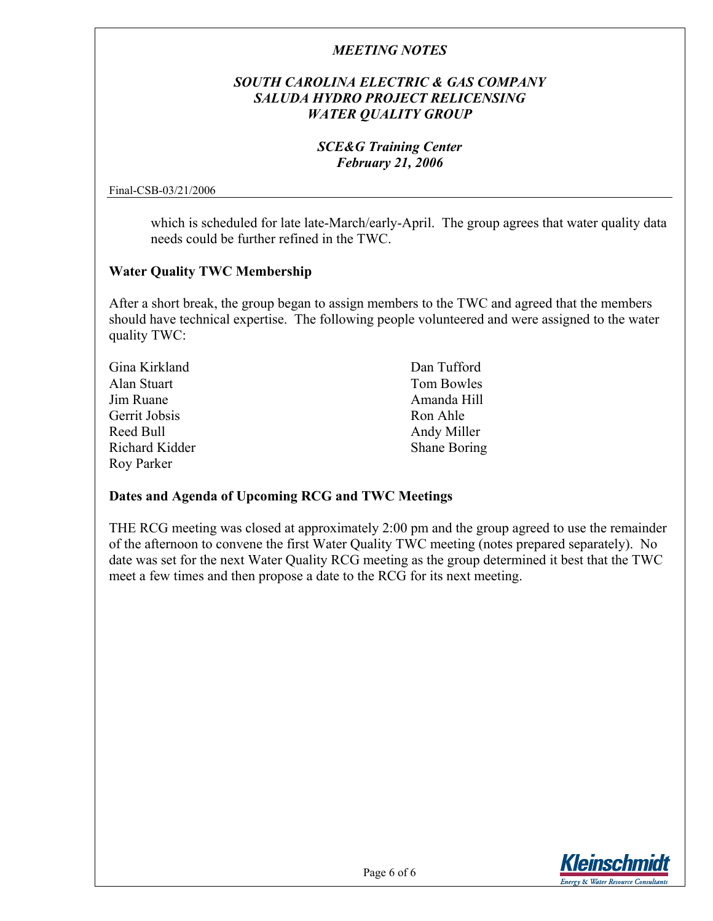## *SOUTH CAROLINA ELECTRIC & GAS COMPANY SALUDA HYDRO PROJECT RELICENSING WATER QUALITY GROUP*

## *SCE&G Training Center February 21, 2006*

Final-CSB-03/21/2006

which is scheduled for late late-March/early-April. The group agrees that water quality data needs could be further refined in the TWC.

#### **Water Quality TWC Membership**

After a short break, the group began to assign members to the TWC and agreed that the members should have technical expertise. The following people volunteered and were assigned to the water quality TWC:

| Gina Kirkland  | Dan Tufford  |
|----------------|--------------|
| Alan Stuart    | Tom Bowles   |
| Jim Ruane      | Amanda Hill  |
| Gerrit Jobsis  | Ron Ahle     |
| Reed Bull      | Andy Miller  |
| Richard Kidder | Shane Boring |
| Roy Parker     |              |

## **Dates and Agenda of Upcoming RCG and TWC Meetings**

THE RCG meeting was closed at approximately 2:00 pm and the group agreed to use the remainder of the afternoon to convene the first Water Quality TWC meeting (notes prepared separately). No date was set for the next Water Quality RCG meeting as the group determined it best that the TWC meet a few times and then propose a date to the RCG for its next meeting.

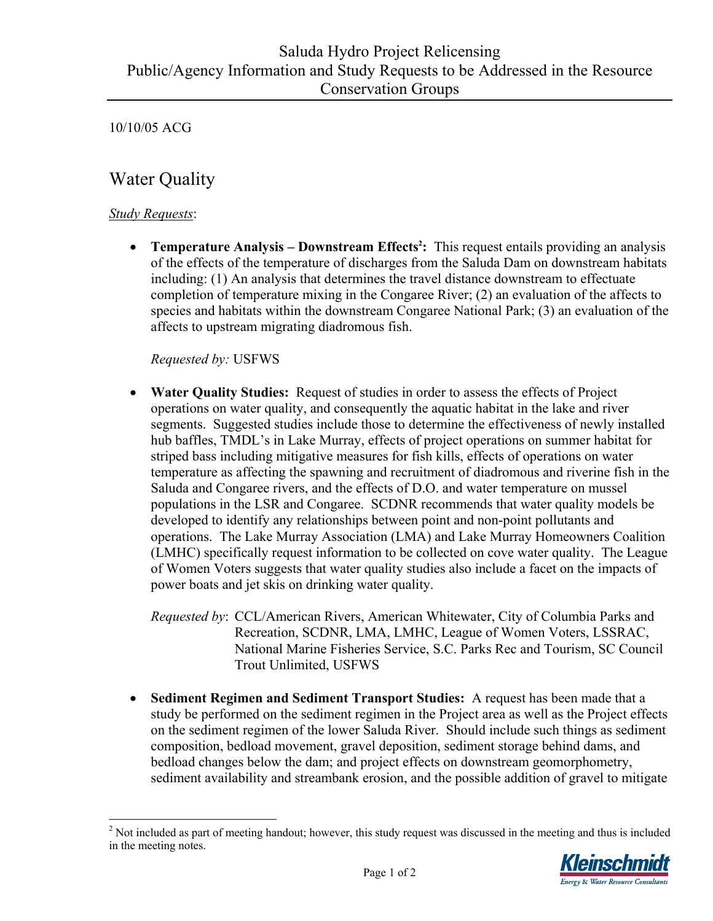10/10/05 ACG

# Water Quality

## *Study Requests*:

 $\overline{a}$ 

• **Temperature Analysis – Downstream Effects<sup>2</sup>[:](#page-6-0)** This request entails providing an analysis of the effects of the temperature of discharges from the Saluda Dam on downstream habitats including: (1) An analysis that determines the travel distance downstream to effectuate completion of temperature mixing in the Congaree River; (2) an evaluation of the affects to species and habitats within the downstream Congaree National Park; (3) an evaluation of the affects to upstream migrating diadromous fish.

## *Requested by:* USFWS

- **Water Quality Studies:** Request of studies in order to assess the effects of Project operations on water quality, and consequently the aquatic habitat in the lake and river segments. Suggested studies include those to determine the effectiveness of newly installed hub baffles, TMDL's in Lake Murray, effects of project operations on summer habitat for striped bass including mitigative measures for fish kills, effects of operations on water temperature as affecting the spawning and recruitment of diadromous and riverine fish in the Saluda and Congaree rivers, and the effects of D.O. and water temperature on mussel populations in the LSR and Congaree. SCDNR recommends that water quality models be developed to identify any relationships between point and non-point pollutants and operations. The Lake Murray Association (LMA) and Lake Murray Homeowners Coalition (LMHC) specifically request information to be collected on cove water quality. The League of Women Voters suggests that water quality studies also include a facet on the impacts of power boats and jet skis on drinking water quality.
	- *Requested by*: CCL/American Rivers, American Whitewater, City of Columbia Parks and Recreation, SCDNR, LMA, LMHC, League of Women Voters, LSSRAC, National Marine Fisheries Service, S.C. Parks Rec and Tourism, SC Council Trout Unlimited, USFWS
- **Sediment Regimen and Sediment Transport Studies:** A request has been made that a study be performed on the sediment regimen in the Project area as well as the Project effects on the sediment regimen of the lower Saluda River. Should include such things as sediment composition, bedload movement, gravel deposition, sediment storage behind dams, and bedload changes below the dam; and project effects on downstream geomorphometry, sediment availability and streambank erosion, and the possible addition of gravel to mitigate

<span id="page-6-0"></span> $2<sup>2</sup>$  Not included as part of meeting handout; however, this study request was discussed in the meeting and thus is included in the meeting notes.